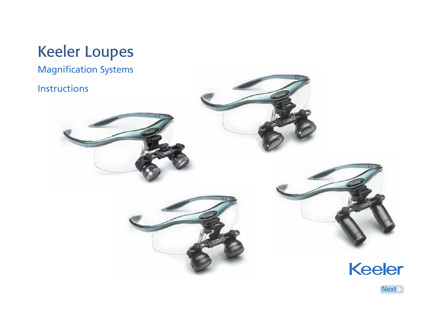# <span id="page-0-0"></span>Keeler Loupes

Magnification Systems

#### Instructions









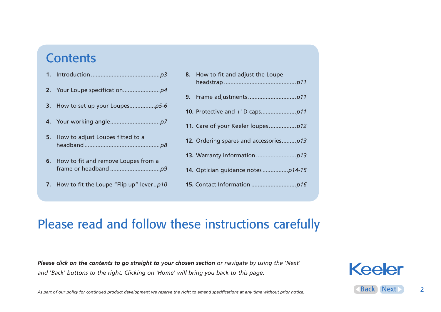#### <span id="page-1-0"></span>**Contents**

- **1.** [Introduction...........................................](#page-2-0)*p3* **2.** [Your Loupe specification.......................](#page-3-0)*p4* **3.** [How to set up your Loupes................](#page-4-0)*p5-6* **4.** [Your working angle...............................](#page-6-0)*p7* **5.** How to adjust Loupes fitted to a [headband...............................................](#page-7-0)*p8* **6.** [How to fit and remove Loupes from a](#page-8-0)  frame or headband ...............................*p9* **7.** [How to fit the Loupe "Flip up" lever..](#page-9-0)*p10*
- **8.** How to fit and adjust the Loupe headstrap .............................................*p11* **9.** Frame adjustments..............................*p11* **10.** [Protective and +1D caps......................](#page-10-0)*p11* **11.** [Care of your Keeler loupes.................](#page-11-0)*p12* **12.** [Ordering spares and accessories.........](#page-12-0)*p13* **13.** Warranty information.........................*p13* **14.** [Optician guidance notes................](#page-13-0)*p14-15* **15.** [Contact Information](#page-15-0) ............................*p16*

#### Please read and follow these instructions carefully

*Please click on the contents to go straight to your chosen section or navigate by using the 'Next' and 'Back' buttons to the right. Clicking on 'Home' will bring you back to this page.*



*As part of our policy for continued product development we reserve the right to amend specifications at any time without prior notice.*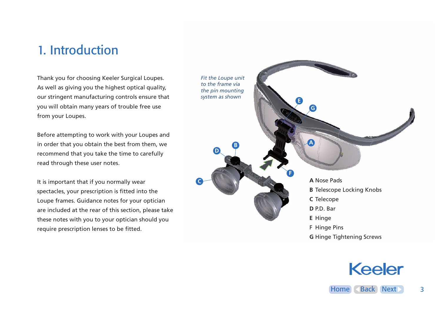### <span id="page-2-0"></span>1. Introduction

Thank you for choosing Keeler Surgical Loupes. As well as giving you the highest optical quality, our stringent manufacturing controls ensure that you will obtain many years of trouble free use from your Loupes.

Before attempting to work with your Loupes and in order that you obtain the best from them, we recommend that you take the time to carefully read through these user notes.

It is important that if you normally wear spectacles, your prescription is fitted into the Loupe frames. Guidance notes for your optician are included at the rear of this section, please take these notes with you to your optician should you require prescription lenses to be fitted.

**C**

**A** Nose Pads **B** Telescope Locking Knobs **C** Telecope **D** P.D. Bar **E** Hinge F Hinge Pins **G** Hinge Tightening Screws **B E G F D A** *Fit the Loupe unit to the frame via the pin mounting system as shown*

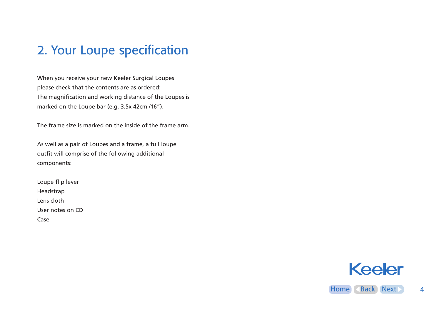### <span id="page-3-0"></span>2. Your Loupe specification

When you receive your new Keeler Surgical Loupes please check that the contents are as ordered: The magnification and working distance of the Loupes is marked on the Loupe bar (e.g. 3.5x 42cm /16").

The frame size is marked on the inside of the frame arm.

As well as a pair of Loupes and a frame, a full loupe outfit will comprise of the following additional components:

Loupe flip lever Headstrap Lens cloth User notes on CD Case

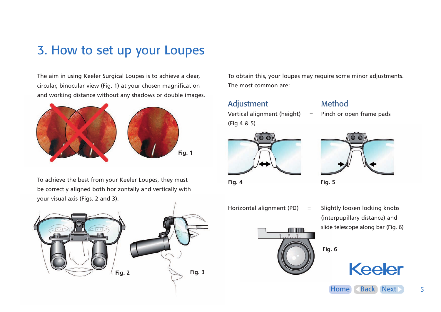#### <span id="page-4-0"></span>3. How to set up your Loupes

The aim in using Keeler Surgical Loupes is to achieve a clear, circular, binocular view (Fig. 1) at your chosen magnification and working distance without any shadows or double images.



To achieve the best from your Keeler Loupes, they must be correctly aligned both horizontally and vertically with your visual axis (Figs. 2 and 3).



To obtain this, your loupes may require some minor adjustments. The most common are:

#### Adjustment Method

Vertical alignment (height)  $=$  Pinch or open frame pads (Fig 4 & 5)



**Fig. 4 Fig. 5**





Horizontal alignment (PD) = Slightly loosen locking knobs

 (interpupillary distance) and slide telescope along bar (Fig. 6)



**Fig. 6**



[Home](#page-1-0) [Back](#page-3-0) [Next](#page-5-0) 5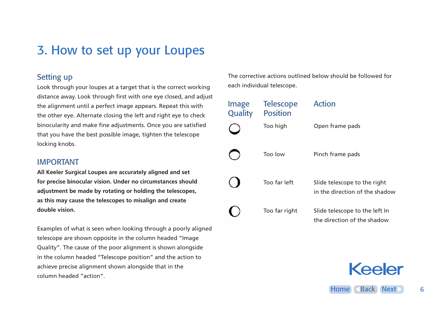#### <span id="page-5-0"></span>3. How to set up your Loupes

#### Setting up

Look through your loupes at a target that is the correct working distance away. Look through first with one eye closed, and adjust the alignment until a perfect image appears. Repeat this with the other eye. Alternate closing the left and right eye to check binocularity and make fine adjustments. Once you are satisfied that you have the best possible image, tighten the telescope locking knobs.

#### IMPORTANT

**All Keeler Surgical Loupes are accurately aligned and set for precise binocular vision. Under no circumstances should adjustment be made by rotating or holding the telescopes, as this may cause the telescopes to misalign and create double vision.**

Examples of what is seen when looking through a poorly aligned telescope are shown opposite in the column headed "Image Quality". The cause of the poor alignment is shown alongside in the column headed "Telescope position" and the action to achieve precise alignment shown alongside that in the column headed "action".

The corrective actions outlined below should be followed for each individual telescope.

| Image<br>Quality | <b>Telescope</b><br><b>Position</b> | <b>Action</b>                                                  |
|------------------|-------------------------------------|----------------------------------------------------------------|
|                  | Too high                            | Open frame pads                                                |
|                  | Too low                             | Pinch frame pads                                               |
|                  | Too far left                        | Slide telescope to the right<br>in the direction of the shadow |
|                  | Too far right                       | Slide telescope to the left In<br>the direction of the shadow  |

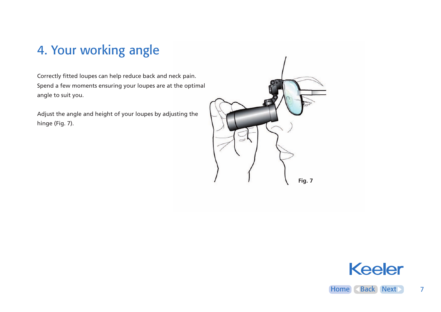## <span id="page-6-0"></span>4. Your working angle

Correctly fitted loupes can help reduce back and neck pain. Spend a few moments ensuring your loupes are at the optimal angle to suit you.

Adjust the angle and height of your loupes by adjusting the hinge (Fig. 7).



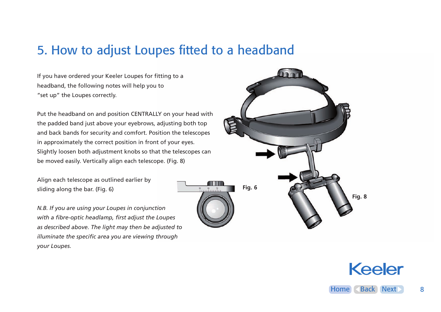#### <span id="page-7-0"></span>5. How to adjust Loupes fitted to a headband

If you have ordered your Keeler Loupes for fitting to a headband, the following notes will help you to "set up" the Loupes correctly.

Put the headband on and position CENTRALLY on your head with the padded band just above your eyebrows, adjusting both top and back bands for security and comfort. Position the telescopes in approximately the correct position in front of your eyes. Slightly loosen both adjustment knobs so that the telescopes can be moved easily. Vertically align each telescope. (Fig. 8)

Align each telescope as outlined earlier by sliding along the bar. (Fig. 6)

*N.B. If you are using your Loupes in conjunction with a fibre-optic headlamp, first adjust the Loupes as described above. The light may then be adjusted to illuminate the specific area you are viewing through your Loupes.*





**Keeler**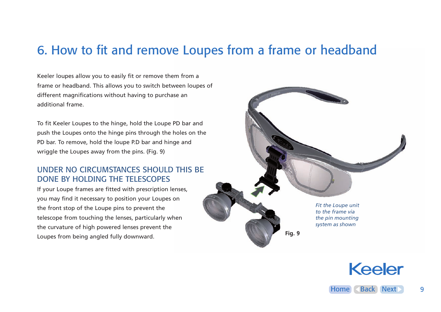#### <span id="page-8-0"></span>6. How to fit and remove Loupes from a frame or headband

Keeler loupes allow you to easily fit or remove them from a frame or headband. This allows you to switch between loupes of different magnifications without having to purchase an additional frame.

To fit Keeler Loupes to the hinge, hold the Loupe PD bar and push the Loupes onto the hinge pins through the holes on the PD bar. To remove, hold the loupe P.D bar and hinge and wriggle the Loupes away from the pins. (Fig. 9)

#### UNDER NO CIRCUMSTANCES SHOULD THIS BE DONE BY HOLDING THE TELESCOPES

If your Loupe frames are fitted with prescription lenses, you may find it necessary to position your Loupes on the front stop of the Loupe pins to prevent the telescope from touching the lenses, particularly when the curvature of high powered lenses prevent the Loupes from being angled fully downward.

*Fit the Loupe unit to the frame via the pin mounting system as shown* **Fig. 9**

**Keeler**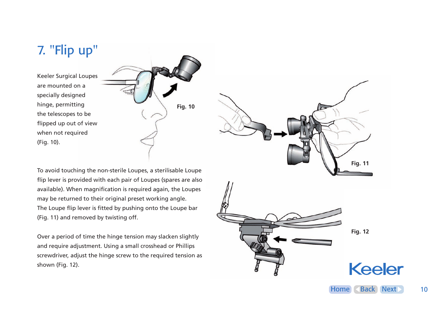### <span id="page-9-0"></span>7. "Flip up"

Keeler Surgical Loupes are mounted on a specially designed hinge, permitting the telescopes to be flipped up out of view when not required (Fig. 10).



To avoid touching the non-sterile Loupes, a sterilisable Loupe flip lever is provided with each pair of Loupes (spares are also available). When magnification is required again, the Loupes may be returned to their original preset working angle. The Loupe flip lever is fitted by pushing onto the Loupe bar (Fig. 11) and removed by twisting off.

Over a period of time the hinge tension may slacken slightly and require adjustment. Using a small crosshead or Phillips screwdriver, adjust the hinge screw to the required tension as shown (Fig. 12).

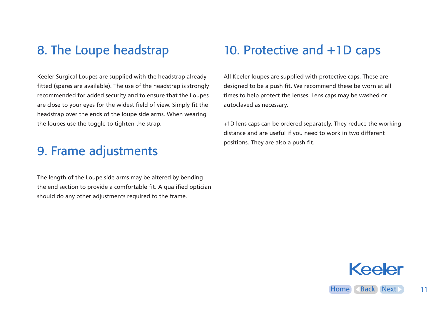### <span id="page-10-0"></span>8. The Loupe headstrap

Keeler Surgical Loupes are supplied with the headstrap already fitted (spares are available). The use of the headstrap is strongly recommended for added security and to ensure that the Loupes are close to your eyes for the widest field of view. Simply fit the headstrap over the ends of the loupe side arms. When wearing the loupes use the toggle to tighten the strap.

#### 9. Frame adjustments

The length of the Loupe side arms may be altered by bending the end section to provide a comfortable fit. A qualified optician should do any other adjustments required to the frame.

#### 10. Protective and +1D caps

All Keeler loupes are supplied with protective caps. These are designed to be a push fit. We recommend these be worn at all times to help protect the lenses. Lens caps may be washed or autoclaved as necessary.

+1D lens caps can be ordered separately. They reduce the working distance and are useful if you need to work in two different positions. They are also a push fit.

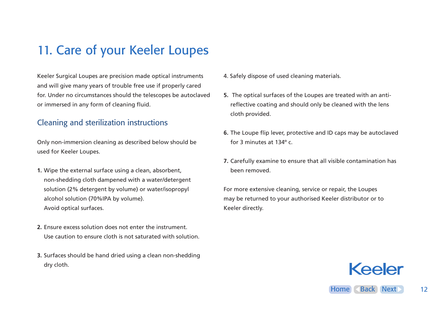### <span id="page-11-0"></span>11. Care of your Keeler Loupes

Keeler Surgical Loupes are precision made optical instruments and will give many years of trouble free use if properly cared for. Under no circumstances should the telescopes be autoclaved or immersed in any form of cleaning fluid.

#### Cleaning and sterilization instructions

Only non-immersion cleaning as described below should be used for Keeler Loupes.

- **1.** Wipe the external surface using a clean, absorbent, non-shedding cloth dampened with a water/detergent solution (2% detergent by volume) or water/isopropyl alcohol solution (70%IPA by volume). Avoid optical surfaces.
- **2.** Ensure excess solution does not enter the instrument. Use caution to ensure cloth is not saturated with solution.
- **3.** Surfaces should be hand dried using a clean non-shedding dry cloth.
- 4. Safely dispose of used cleaning materials.
- **5.** The optical surfaces of the Loupes are treated with an antireflective coating and should only be cleaned with the lens cloth provided.
- **6.** The Loupe flip lever, protective and ID caps may be autoclaved for 3 minutes at 134º c.
- **7.** Carefully examine to ensure that all visible contamination has been removed.

For more extensive cleaning, service or repair, the Loupes may be returned to your authorised Keeler distributor or to Keeler directly.

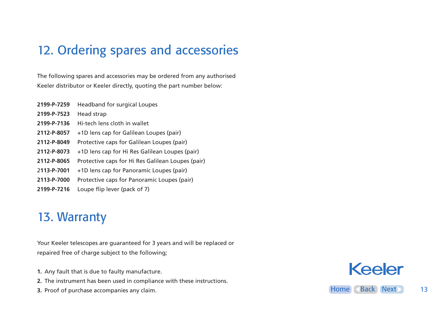## <span id="page-12-0"></span>12. Ordering spares and accessories

The following spares and accessories may be ordered from any authorised Keeler distributor or Keeler directly, quoting the part number below:

**2199-P-7259** Headband for surgical Loupes **2199-P-7523** Head strap **2199-P-7136** Hi-tech lens cloth in wallet **2112-P-8057** +1D lens cap for Galilean Loupes (pair) **2112-P-8049** Protective caps for Galilean Loupes (pair) **2112-P-8073** +1D lens cap for Hi Res Galilean Loupes (pair) **2112-P-8065** Protective caps for Hi Res Galilean Loupes (pair) 2**113-P-7001** +1D lens cap for Panoramic Loupes (pair) **2113-P-7000** Protective caps for Panoramic Loupes (pair) **2199-P-7216** Loupe flip lever (pack of 7)

#### 13. Warranty

Your Keeler telescopes are guaranteed for 3 years and will be replaced or repaired free of charge subject to the following;

- **1.** Any fault that is due to faulty manufacture.
- **2.** The instrument has been used in compliance with these instructions.
- **3.** Proof of purchase accompanies any claim.

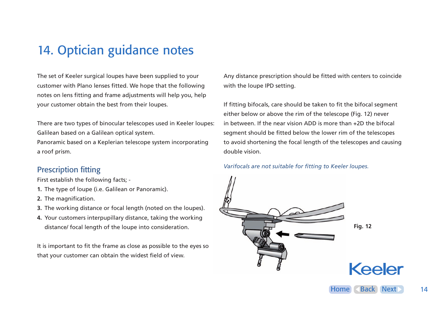### <span id="page-13-0"></span>14. Optician guidance notes

The set of Keeler surgical loupes have been supplied to your customer with Plano lenses fitted. We hope that the following notes on lens fitting and frame adjustments will help you, help your customer obtain the best from their loupes.

There are two types of binocular telescopes used in Keeler loupes: Galilean based on a Galilean optical system.

Panoramic based on a Keplerian telescope system incorporating a roof prism.

#### Prescription fitting

First establish the following facts; -

- **1.** The type of loupe (i.e. Galilean or Panoramic).
- **2.** The magnification.
- **3.** The working distance or focal length (noted on the loupes).
- **4.** Your customers interpupillary distance, taking the working distance/ focal length of the loupe into consideration.

It is important to fit the frame as close as possible to the eyes so that your customer can obtain the widest field of view.

Any distance prescription should be fitted with centers to coincide with the loupe IPD setting.

If fitting bifocals, care should be taken to fit the bifocal segment either below or above the rim of the telescope (Fig. 12) never in between. If the near vision ADD is more than +2D the bifocal segment should be fitted below the lower rim of the telescopes to avoid shortening the focal length of the telescopes and causing double vision.

*Varifocals are not suitable for fitting to Keeler loupes.*

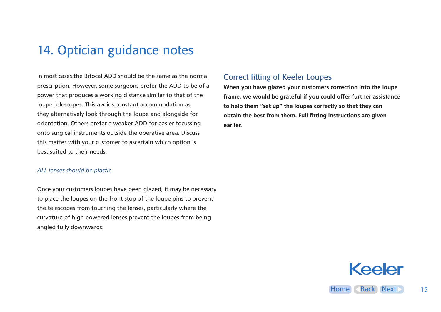### <span id="page-14-0"></span>14. Optician guidance notes

In most cases the Bifocal ADD should be the same as the normal prescription. However, some surgeons prefer the ADD to be of a power that produces a working distance similar to that of the loupe telescopes. This avoids constant accommodation as they alternatively look through the loupe and alongside for orientation. Others prefer a weaker ADD for easier focussing onto surgical instruments outside the operative area. Discuss this matter with your customer to ascertain which option is best suited to their needs.

#### *ALL lenses should be plastic*

Once your customers loupes have been glazed, it may be necessary to place the loupes on the front stop of the loupe pins to prevent the telescopes from touching the lenses, particularly where the curvature of high powered lenses prevent the loupes from being angled fully downwards.

#### Correct fitting of Keeler Loupes

**When you have glazed your customers correction into the loupe frame, we would be grateful if you could offer further assistance to help them "set up" the loupes correctly so that they can obtain the best from them. Full fitting instructions are given earlier.**